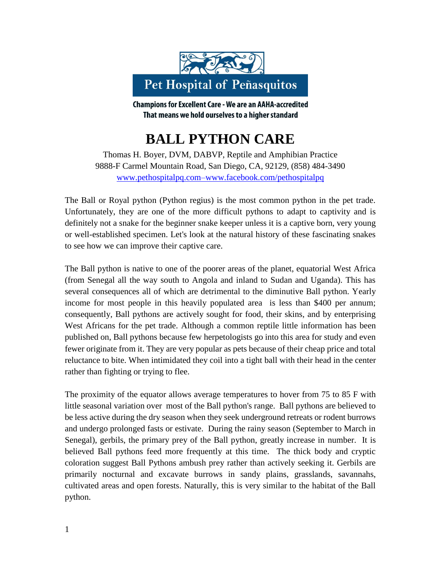

**Champions for Excellent Care - We are an AAHA-accredited** That means we hold ourselves to a higher standard

## **BALL PYTHON CARE**

Thomas H. Boyer, DVM, DABVP, Reptile and Amphibian Practice 9888-F Carmel Mountain Road, San Diego, CA, 92129, (858) 484-3490 [www.pethospitalpq.com–www.facebook.com/pethospitalpq](http://www.pethospitalpq.com–www.facebook.com/pethospitalpq)

The Ball or Royal python (Python regius) is the most common python in the pet trade. Unfortunately, they are one of the more difficult pythons to adapt to captivity and is definitely not a snake for the beginner snake keeper unless it is a captive born, very young or well-established specimen. Let's look at the natural history of these fascinating snakes to see how we can improve their captive care.

The Ball python is native to one of the poorer areas of the planet, equatorial West Africa (from Senegal all the way south to Angola and inland to Sudan and Uganda). This has several consequences all of which are detrimental to the diminutive Ball python. Yearly income for most people in this heavily populated area is less than \$400 per annum; consequently, Ball pythons are actively sought for food, their skins, and by enterprising West Africans for the pet trade. Although a common reptile little information has been published on, Ball pythons because few herpetologists go into this area for study and even fewer originate from it. They are very popular as pets because of their cheap price and total reluctance to bite. When intimidated they coil into a tight ball with their head in the center rather than fighting or trying to flee.

The proximity of the equator allows average temperatures to hover from 75 to 85 F with little seasonal variation over most of the Ball python's range. Ball pythons are believed to be less active during the dry season when they seek underground retreats or rodent burrows and undergo prolonged fasts or estivate. During the rainy season (September to March in Senegal), gerbils, the primary prey of the Ball python, greatly increase in number. It is believed Ball pythons feed more frequently at this time. The thick body and cryptic coloration suggest Ball Pythons ambush prey rather than actively seeking it. Gerbils are primarily nocturnal and excavate burrows in sandy plains, grasslands, savannahs, cultivated areas and open forests. Naturally, this is very similar to the habitat of the Ball python.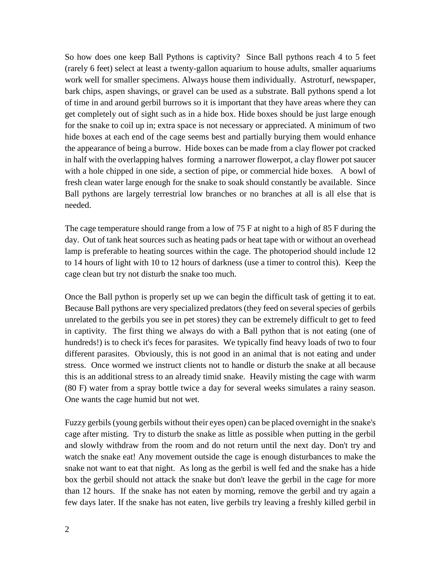So how does one keep Ball Pythons is captivity? Since Ball pythons reach 4 to 5 feet (rarely 6 feet) select at least a twenty-gallon aquarium to house adults, smaller aquariums work well for smaller specimens. Always house them individually. Astroturf, newspaper, bark chips, aspen shavings, or gravel can be used as a substrate. Ball pythons spend a lot of time in and around gerbil burrows so it is important that they have areas where they can get completely out of sight such as in a hide box. Hide boxes should be just large enough for the snake to coil up in; extra space is not necessary or appreciated. A minimum of two hide boxes at each end of the cage seems best and partially burying them would enhance the appearance of being a burrow. Hide boxes can be made from a clay flower pot cracked in half with the overlapping halves forming a narrower flowerpot, a clay flower pot saucer with a hole chipped in one side, a section of pipe, or commercial hide boxes. A bowl of fresh clean water large enough for the snake to soak should constantly be available. Since Ball pythons are largely terrestrial low branches or no branches at all is all else that is needed.

The cage temperature should range from a low of 75 F at night to a high of 85 F during the day. Out of tank heat sources such as heating pads or heat tape with or without an overhead lamp is preferable to heating sources within the cage. The photoperiod should include 12 to 14 hours of light with 10 to 12 hours of darkness (use a timer to control this). Keep the cage clean but try not disturb the snake too much.

Once the Ball python is properly set up we can begin the difficult task of getting it to eat. Because Ball pythons are very specialized predators (they feed on several species of gerbils unrelated to the gerbils you see in pet stores) they can be extremely difficult to get to feed in captivity. The first thing we always do with a Ball python that is not eating (one of hundreds!) is to check it's feces for parasites. We typically find heavy loads of two to four different parasites. Obviously, this is not good in an animal that is not eating and under stress. Once wormed we instruct clients not to handle or disturb the snake at all because this is an additional stress to an already timid snake. Heavily misting the cage with warm (80 F) water from a spray bottle twice a day for several weeks simulates a rainy season. One wants the cage humid but not wet.

Fuzzy gerbils (young gerbils without their eyes open) can be placed overnight in the snake's cage after misting. Try to disturb the snake as little as possible when putting in the gerbil and slowly withdraw from the room and do not return until the next day. Don't try and watch the snake eat! Any movement outside the cage is enough disturbances to make the snake not want to eat that night. As long as the gerbil is well fed and the snake has a hide box the gerbil should not attack the snake but don't leave the gerbil in the cage for more than 12 hours. If the snake has not eaten by morning, remove the gerbil and try again a few days later. If the snake has not eaten, live gerbils try leaving a freshly killed gerbil in